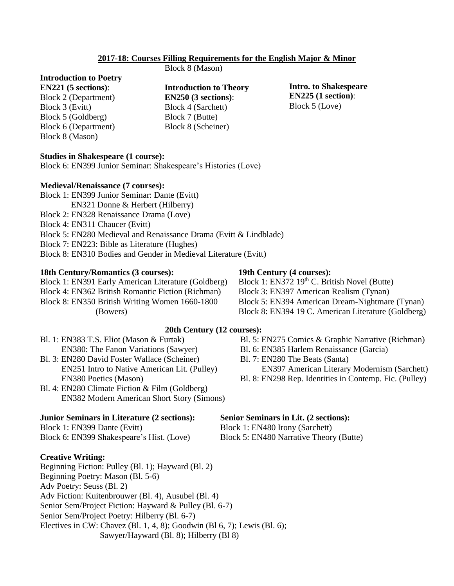### **2017-18: Courses Filling Requirements for the English Major & Minor**

# **Introduction to Poetry**

**EN221 (5 sections)**: Block 2 (Department) Block 3 (Evitt) Block 5 (Goldberg) Block 6 (Department) Block 8 (Mason)

**Introduction to Theory EN250 (3 sections)**:

Block 4 (Sarchett) Block 7 (Butte) Block 8 (Scheiner)

Block 8 (Mason)

**Intro. to Shakespeare EN225 (1 section)**: Block 5 (Love)

#### **Studies in Shakespeare (1 course):**

Block 6: EN399 Junior Seminar: Shakespeare's Histories (Love)

#### **Medieval/Renaissance (7 courses):**

- Block 1: EN399 Junior Seminar: Dante (Evitt) EN321 Donne & Herbert (Hilberry)
- Block 2: EN328 Renaissance Drama (Love)
- Block 4: EN311 Chaucer (Evitt)
- Block 5: EN280 Medieval and Renaissance Drama (Evitt & Lindblade)
- Block 7: EN223: Bible as Literature (Hughes)
- Block 8: EN310 Bodies and Gender in Medieval Literature (Evitt)

#### **18th Century/Romantics (3 courses):**

Block 1: EN391 Early American Literature (Goldberg) Block 4: EN362 British Romantic Fiction (Richman) Block 8: EN350 British Writing Women 1660-1800 (Bowers)

### **19th Century (4 courses):**

Block 1: EN372 19<sup>th</sup> C. British Novel (Butte) Block 3: EN397 American Realism (Tynan) Block 5: EN394 American Dream-Nightmare (Tynan) Block 8: EN394 19 C. American Literature (Goldberg)

# **20th Century (12 courses):**

- Bl. 1: EN383 T.S. Eliot (Mason & Furtak) EN380: The Fanon Variations (Sawyer)
- Bl. 3: EN280 David Foster Wallace (Scheiner) EN251 Intro to Native American Lit. (Pulley) EN380 Poetics (Mason)
- Bl. 4: EN280 Climate Fiction & Film (Goldberg) EN382 Modern American Short Story (Simons)

#### **Junior Seminars in Literature (2 sections):**

Block 1: EN399 Dante (Evitt)

Block 6: EN399 Shakespeare's Hist. (Love)

#### **Creative Writing:**

Beginning Fiction: Pulley (Bl. 1); Hayward (Bl. 2) Beginning Poetry: Mason (Bl. 5-6) Adv Poetry: Seuss (Bl. 2) Adv Fiction: Kuitenbrouwer (Bl. 4), Ausubel (Bl. 4) Senior Sem/Project Fiction: Hayward & Pulley (Bl. 6-7) Senior Sem/Project Poetry: Hilberry (Bl. 6-7) Electives in CW: Chavez (Bl. 1, 4, 8); Goodwin (Bl 6, 7); Lewis (Bl. 6); Sawyer/Hayward (Bl. 8); Hilberry (Bl 8)

- Bl. 5: EN275 Comics & Graphic Narrative (Richman)
- Bl. 6: EN385 Harlem Renaissance (Garcia)
- Bl. 7: EN280 The Beats (Santa)
- EN397 American Literary Modernism (Sarchett)
- Bl. 8: EN298 Rep. Identities in Contemp. Fic. (Pulley)

### **Senior Seminars in Lit. (2 sections):**

Block 1: EN480 Irony (Sarchett)

Block 5: EN480 Narrative Theory (Butte)